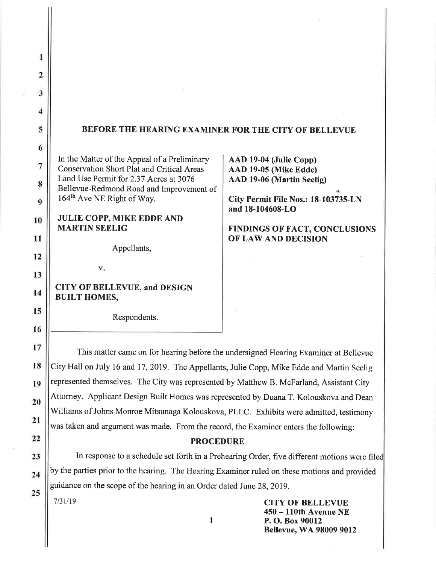| $\overline{\mathbf{c}}$ |                                                                                                   |                                                 |
|-------------------------|---------------------------------------------------------------------------------------------------|-------------------------------------------------|
|                         |                                                                                                   |                                                 |
| 3                       |                                                                                                   |                                                 |
| 4                       |                                                                                                   |                                                 |
| 5                       | BEFORE THE HEARING EXAMINER FOR THE CITY OF BELLEVUE                                              |                                                 |
| 6                       |                                                                                                   |                                                 |
| 7                       | In the Matter of the Appeal of a Preliminary<br><b>Conservation Short Plat and Critical Areas</b> | AAD 19-04 (Julie Copp)<br>AAD 19-05 (Mike Edde) |
| 8                       | Land Use Permit for 2.37 Acres at 3076                                                            | AAD 19-06 (Martin Seelig)                       |
| $\overline{9}$          | Bellevue-Redmond Road and Improvement of<br>164 <sup>th</sup> Ave NE Right of Way.                | City Permit File Nos.: 18-103735-LN             |
|                         | <b>JULIE COPP, MIKE EDDE AND</b>                                                                  | and 18-104608-LO                                |
| 10                      | <b>MARTIN SEELIG</b>                                                                              | <b>FINDINGS OF FACT, CONCLUSIONS</b>            |
| 11                      |                                                                                                   | OF LAW AND DECISION                             |
| 12                      | Appellants,                                                                                       |                                                 |
| 13                      | V.                                                                                                |                                                 |
| 14                      | <b>CITY OF BELLEVUE, and DESIGN</b><br><b>BUILT HOMES,</b>                                        |                                                 |
| 15                      |                                                                                                   |                                                 |
|                         | Respondents.                                                                                      |                                                 |
| 16                      |                                                                                                   |                                                 |
| 17                      | This matter came on for hearing before the undersigned Hearing Examiner at Bellevue               |                                                 |
| 18                      | City Hall on July 16 and 17, 2019. The Appellants, Julie Copp, Mike Edde and Martin Seelig        |                                                 |
| 19                      | represented themselves. The City was represented by Matthew B. McFarland, Assistant City          |                                                 |
| 20                      | Attorney. Applicant Design Built Homes was represented by Duana T. Kolouskova and Dean            |                                                 |
| 21                      | Williams of Johns Monroe Mitsunaga Kolouskova, PLLC. Exhibits were admitted, testimony            |                                                 |
|                         | was taken and argument was made. From the record, the Examiner enters the following:              |                                                 |
| 22                      | <b>PROCEDURE</b>                                                                                  |                                                 |

In response to a schedule set forth in a Prehearing Order, five different motions were filed by the parties prior to the hearing. The Hearing Examiner ruled on these motions and provided guidance on the scope of the hearing in an Order dated June 28, 2019.

 $\mathbf{1}$ 

 $7/31/19$ 

23

 $24$ 

25

**CITY OF BELLEVUE** 450 - 110th Avenue NE P.O. Box 90012 **Bellevue, WA 98009 9012**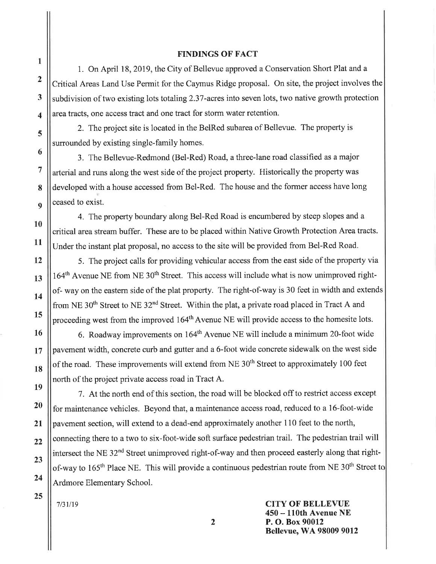#### **FINDINGS OF FACT**

1. On April 18, 2019, the City of Bellevue approved a Conservation Short Plat and a Critical Areas Land Use Permit for the Caymus Ridge proposal. On site, the project involves the subdivision of two existing lots totaling 2.37-acres into seven lots, two native growth protection area tracts, one access tract and one tract for storm water retention.

2. The project site is located in the BelRed subarea of Bellevue. The property is surrounded by existing single-family homes.

3. The Bellevue-Redmond (Bel-Red) Road, a three-lane road classified as a major arterial and runs along the west side of the project property. Historically the property was developed with a house accessed from Bel-Red. The house and the former access have long ceased to exist.

4. The property boundary along Bel-Red Road is encumbered by steep slopes and a critical area stream buffer. These are to be placed within Native Growth Protection Area tracts. Under the instant plat proposal, no access to the site will be provided from Bel-Red Road.

5. The project calls for providing vehicular access from the east side of the property via 164<sup>th</sup> Avenue NE from NE 30<sup>th</sup> Street. This access will include what is now unimproved rightof-way on the eastern side of the plat property. The right-of-way is 30 feet in width and extends from NE 30<sup>th</sup> Street to NE 32<sup>nd</sup> Street. Within the plat, a private road placed in Tract A and proceeding west from the improved 164<sup>th</sup> Avenue NE will provide access to the homesite lots.

6. Roadway improvements on 164<sup>th</sup> Avenue NE will include a minimum 20-foot wide payement width, concrete curb and gutter and a 6-foot wide concrete sidewalk on the west side of the road. These improvements will extend from NE 30<sup>th</sup> Street to approximately 100 feet north of the project private access road in Tract A.

7. At the north end of this section, the road will be blocked off to restrict access except for maintenance vehicles. Beyond that, a maintenance access road, reduced to a 16-foot-wide pavement section, will extend to a dead-end approximately another 110 feet to the north, connecting there to a two to six-foot-wide soft surface pedestrian trail. The pedestrian trail will intersect the NE 32<sup>nd</sup> Street unimproved right-of-way and then proceed easterly along that rightof-way to 165<sup>th</sup> Place NE. This will provide a continuous pedestrian route from NE 30<sup>th</sup> Street to Ardmore Elementary School.

 $7/31/19$ 

**CITY OF BELLEVUE** 450 – 110th Avenue NE P. O. Box 90012 **Bellevue, WA 98009 9012** 

 $\mathbf{1}$ 

 $\overline{2}$ 

3

 $\overline{\mathbf{4}}$ 

5

6

 $\overline{7}$ 

8

 $\mathbf{Q}$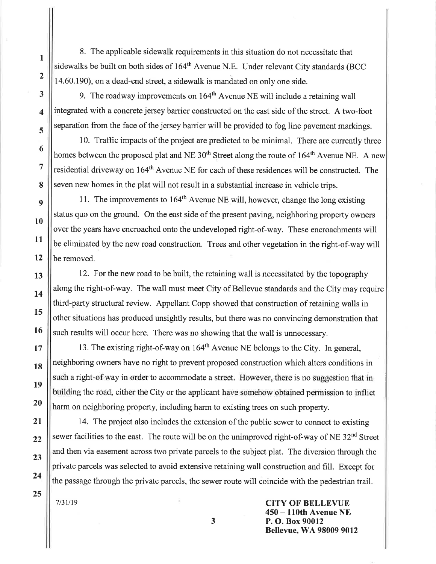8. The applicable sidewalk requirements in this situation do not necessitate that sidewalks be built on both sides of 164<sup>th</sup> Avenue N.E. Under relevant City standards (BCC 14.60.190), on a dead-end street, a sidewalk is mandated on only one side.

9. The roadway improvements on  $164<sup>th</sup>$  Avenue NE will include a retaining wall integrated with a concrete jersey barrier constructed on the east side of the street. A two-foot separation from the face of the jersey barrier will be provided to fog line pavement markings.

10. Traffic impacts of the project are predicted to be minimal. There are currently three homes between the proposed plat and NE 30<sup>th</sup> Street along the route of 164<sup>th</sup> Avenue NE. A new residential driveway on 164<sup>th</sup> Avenue NE for each of these residences will be constructed. The seven new homes in the plat will not result in a substantial increase in vehicle trips.

11. The improvements to 164<sup>th</sup> Avenue NE will, however, change the long existing status quo on the ground. On the east side of the present paving, neighboring property owners over the years have encroached onto the undeveloped right-of-way. These encroachments will be eliminated by the new road construction. Trees and other vegetation in the right-of-way will be removed.

12. For the new road to be built, the retaining wall is necessitated by the topography along the right-of-way. The wall must meet City of Bellevue standards and the City may require third-party structural review. Appellant Copp showed that construction of retaining walls in other situations has produced unsightly results, but there was no convincing demonstration that such results will occur here. There was no showing that the wall is unnecessary.

13. The existing right-of-way on 164<sup>th</sup> Avenue NE belongs to the City. In general, neighboring owners have no right to prevent proposed construction which alters conditions in such a right-of way in order to accommodate a street. However, there is no suggestion that in building the road, either the City or the applicant have somehow obtained permission to inflict harm on neighboring property, including harm to existing trees on such property.

14. The project also includes the extension of the public sewer to connect to existing sewer facilities to the east. The route will be on the unimproved right-of-way of NE 32<sup>nd</sup> Street and then via easement across two private parcels to the subject plat. The diversion through the private parcels was selected to avoid extensive retaining wall construction and fill. Except for the passage through the private parcels, the sewer route will coincide with the pedestrian trail.

 $7/31/19$ 

**CITY OF BELLEVUE** 50 – 110th Avenue NE P.O. Box 90012 **Bellevue, WA 98009 9012** 

3

 $\mathbf{1}$ 

 $\overline{2}$ 

 $\overline{\mathbf{3}}$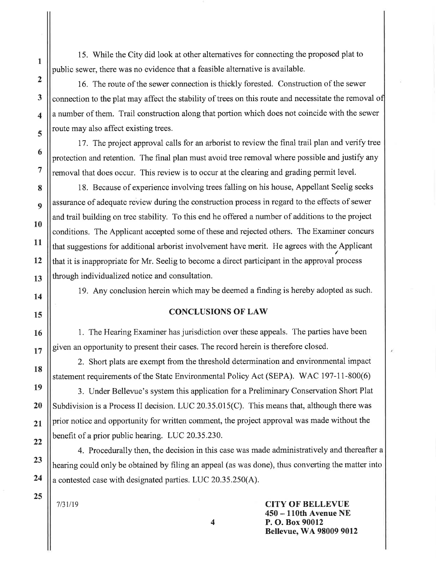15. While the City did look at other alternatives for connecting the proposed plat to public sewer, there was no evidence that a feasible alternative is available.

16. The route of the sewer connection is thickly forested. Construction of the sewer connection to the plat may affect the stability of trees on this route and necessitate the removal of a number of them. Trail construction along that portion which does not coincide with the sewer route may also affect existing trees.

17. The project approval calls for an arborist to review the final trail plan and verify tree protection and retention. The final plan must avoid tree removal where possible and justify any removal that does occur. This review is to occur at the clearing and grading permit level.

18. Because of experience involving trees falling on his house, Appellant Seelig seeks assurance of adequate review during the construction process in regard to the effects of sewer and trail building on tree stability. To this end he offered a number of additions to the project conditions. The Applicant accepted some of these and rejected others. The Examiner concurs that suggestions for additional arborist involvement have merit. He agrees with the Applicant that it is inappropriate for Mr. Seelig to become a direct participant in the approval process through individualized notice and consultation.

19. Any conclusion herein which may be deemed a finding is hereby adopted as such.

#### **CONCLUSIONS OF LAW**

1. The Hearing Examiner has jurisdiction over these appeals. The parties have been given an opportunity to present their cases. The record herein is therefore closed.

2. Short plats are exempt from the threshold determination and environmental impact statement requirements of the State Environmental Policy Act (SEPA). WAC 197-11-800(6)

3. Under Bellevue's system this application for a Preliminary Conservation Short Plat Subdivision is a Process II decision. LUC  $20.35.015(C)$ . This means that, although there was prior notice and opportunity for written comment, the project approval was made without the benefit of a prior public hearing. LUC 20.35.230.

4. Procedurally then, the decision in this case was made administratively and thereafter a hearing could only be obtained by filing an appeal (as was done), thus converting the matter into a contested case with designated parties. LUC 20.35.250(A).

 $7/31/19$ 

**CITY OF BELLEVUE** 450 – 110th Avenue NE P. O. Box 90012 **Bellevue, WA 98009 9012** 

4

 $\mathbf{1}$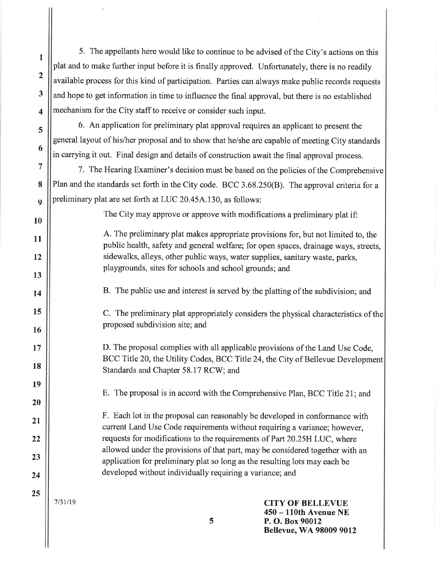5. The appellants here would like to continue to be advised of the City's actions on this plat and to make further input before it is finally approved. Unfortunately, there is no readily available process for this kind of participation. Parties can always make public records requests and hope to get information in time to influence the final approval, but there is no established mechanism for the City staff to receive or consider such input.

6. An application for preliminary plat approval requires an applicant to present the general layout of his/her proposal and to show that he/she are capable of meeting City standards in carrying it out. Final design and details of construction await the final approval process.

7. The Hearing Examiner's decision must be based on the policies of the Comprehensive Plan and the standards set forth in the City code. BCC 3.68.250(B). The approval criteria for a preliminary plat are set forth at LUC 20.45A.130, as follows:

The City may approve or approve with modifications a preliminary plat if:

A. The preliminary plat makes appropriate provisions for, but not limited to, the public health, safety and general welfare; for open spaces, drainage ways, streets, sidewalks, alleys, other public ways, water supplies, sanitary waste, parks, playgrounds, sites for schools and school grounds; and

B. The public use and interest is served by the platting of the subdivision; and

C. The preliminary plat appropriately considers the physical characteristics of the proposed subdivision site; and

D. The proposal complies with all applicable provisions of the Land Use Code. BCC Title 20, the Utility Codes, BCC Title 24, the City of Bellevue Development Standards and Chapter 58.17 RCW; and

E. The proposal is in accord with the Comprehensive Plan, BCC Title 21; and

F. Each lot in the proposal can reasonably be developed in conformance with current Land Use Code requirements without requiring a variance; however, requests for modifications to the requirements of Part 20.25H LUC, where allowed under the provisions of that part, may be considered together with an application for preliminary plat so long as the resulting lots may each be developed without individually requiring a variance; and

 $7/31/19$ 

 $\mathbf{1}$ 

 $\overline{2}$ 

 $\overline{\mathbf{3}}$ 

 $\overline{\mathbf{A}}$ 

5

6

 $\overline{7}$ 

8

 $\boldsymbol{Q}$ 

10

11

12

13

14

15

16

17

18

19

20

21

 $22$ 

23

24

25

**CITY OF BELLEVUE** 450 – 110th Avenue NE P. O. Box 90012 **Bellevue, WA 98009 9012**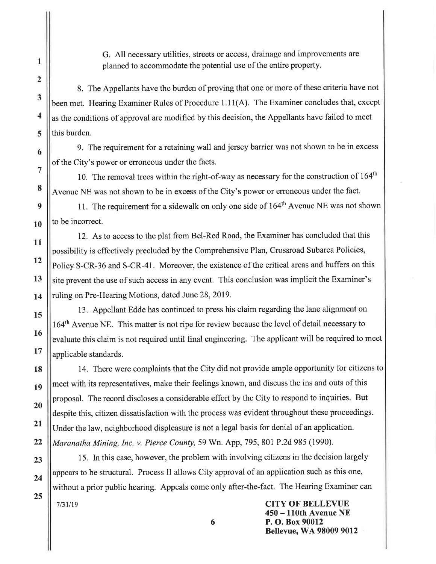G. All necessary utilities, streets or access, drainage and improvements are planned to accommodate the potential use of the entire property.

8. The Appellants have the burden of proving that one or more of these criteria have not been met. Hearing Examiner Rules of Procedure 1.11(A). The Examiner concludes that, except as the conditions of approval are modified by this decision, the Appellants have failed to meet this burden.

9. The requirement for a retaining wall and jersey barrier was not shown to be in excess of the City's power or erroneous under the facts.

10. The removal trees within the right-of-way as necessary for the construction of 164<sup>th</sup> Avenue NE was not shown to be in excess of the City's power or erroneous under the fact.

11. The requirement for a sidewalk on only one side of 164<sup>th</sup> Avenue NE was not shown to be incorrect.

12. As to access to the plat from Bel-Red Road, the Examiner has concluded that this possibility is effectively precluded by the Comprehensive Plan, Crossroad Subarea Policies, Policy S-CR-36 and S-CR-41. Moreover, the existence of the critical areas and buffers on this site prevent the use of such access in any event. This conclusion was implicit the Examiner's ruling on Pre-Hearing Motions, dated June 28, 2019.

13. Appellant Edde has continued to press his claim regarding the lane alignment on 164<sup>th</sup> Avenue NE. This matter is not ripe for review because the level of detail necessary to evaluate this claim is not required until final engineering. The applicant will be required to meet applicable standards.

14. There were complaints that the City did not provide ample opportunity for citizens to meet with its representatives, make their feelings known, and discuss the ins and outs of this proposal. The record discloses a considerable effort by the City to respond to inquiries. But despite this, citizen dissatisfaction with the process was evident throughout these proceedings. Under the law, neighborhood displeasure is not a legal basis for denial of an application. Maranatha Mining, Inc. v. Pierce County, 59 Wn. App, 795, 801 P.2d 985 (1990).

15. In this case, however, the problem with involving citizens in the decision largely appears to be structural. Process II allows City approval of an application such as this one, without a prior public hearing. Appeals come only after-the-fact. The Hearing Examiner can  $7/31/19$ 

6

**CITY OF BELLEVUE** 450 – 110th Avenue NE P. O. Box 90012 **Bellevue, WA 98009 9012** 

 $\mathbf{1}$ 

 $\overline{2}$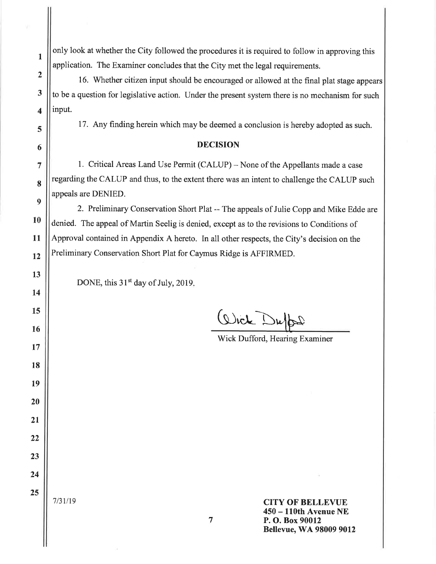| 1              | only look at whether the City followed the procedures it is required to follow in approving this |  |
|----------------|--------------------------------------------------------------------------------------------------|--|
|                | application. The Examiner concludes that the City met the legal requirements.                    |  |
| $\overline{2}$ | 16. Whether citizen input should be encouraged or allowed at the final plat stage appears        |  |
| 3              | to be a question for legislative action. Under the present system there is no mechanism for such |  |
| 4              | input.                                                                                           |  |
| 5              | 17. Any finding herein which may be deemed a conclusion is hereby adopted as such.               |  |
| 6              | <b>DECISION</b>                                                                                  |  |
| 7              | 1. Critical Areas Land Use Permit (CALUP) - None of the Appellants made a case                   |  |
| 8              | regarding the CALUP and thus, to the extent there was an intent to challenge the CALUP such      |  |
| 9              | appeals are DENIED.                                                                              |  |
|                | 2. Preliminary Conservation Short Plat -- The appeals of Julie Copp and Mike Edde are            |  |
| <b>10</b>      | denied. The appeal of Martin Seelig is denied, except as to the revisions to Conditions of       |  |
| 11             | Approval contained in Appendix A hereto. In all other respects, the City's decision on the       |  |
| 12             | Preliminary Conservation Short Plat for Caymus Ridge is AFFIRMED.                                |  |
| 13             | DONE, this $31st$ day of July, 2019.                                                             |  |
| 14             |                                                                                                  |  |
| 15             |                                                                                                  |  |
| 16             | Wick Duffer                                                                                      |  |
| 17             | Wick Dufford, Hearing Examiner                                                                   |  |
| 18             |                                                                                                  |  |
| 19             |                                                                                                  |  |
| 20             |                                                                                                  |  |
| 21             |                                                                                                  |  |
| 22             |                                                                                                  |  |
| 23             |                                                                                                  |  |
| 24             |                                                                                                  |  |
|                |                                                                                                  |  |
| 25             | 7/31/19<br><b>CITY OF BELLEVUE</b>                                                               |  |
|                | 450 - 110th Avenue NE<br>7<br>P.O. Box 90012                                                     |  |
|                | <b>Bellevue, WA 98009 9012</b>                                                                   |  |

 $\cdot$  ).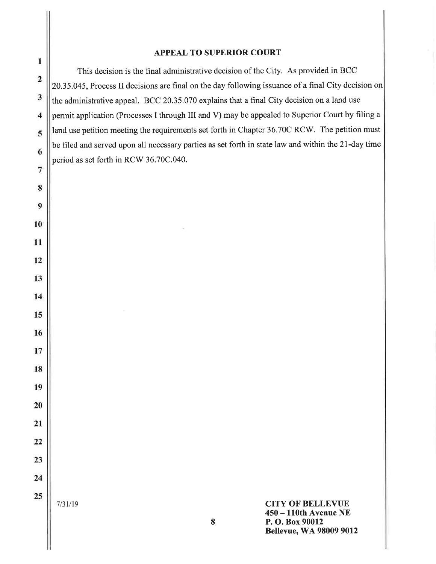#### **APPEAL TO SUPERIOR COURT**

This decision is the final administrative decision of the City. As provided in BCC 20.35.045, Process II decisions are final on the day following issuance of a final City decision on the administrative appeal. BCC 20.35.070 explains that a final City decision on a land use permit application (Processes I through III and V) may be appealed to Superior Court by filing a land use petition meeting the requirements set forth in Chapter 36.70C RCW. The petition must be filed and served upon all necessary parties as set forth in state law and within the 21-day time period as set forth in RCW 36.70C.040.

 $7/31/19$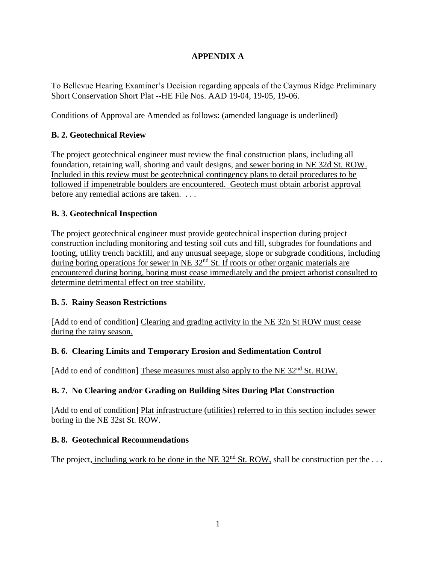# **APPENDIX A**

To Bellevue Hearing Examiner's Decision regarding appeals of the Caymus Ridge Preliminary Short Conservation Short Plat --HE File Nos. AAD 19-04, 19-05, 19-06.

Conditions of Approval are Amended as follows: (amended language is underlined)

# **B. 2. Geotechnical Review**

The project geotechnical engineer must review the final construction plans, including all foundation, retaining wall, shoring and vault designs, and sewer boring in NE 32d St. ROW. Included in this review must be geotechnical contingency plans to detail procedures to be followed if impenetrable boulders are encountered. Geotech must obtain arborist approval before any remedial actions are taken. . . .

# **B. 3. Geotechnical Inspection**

The project geotechnical engineer must provide geotechnical inspection during project construction including monitoring and testing soil cuts and fill, subgrades for foundations and footing, utility trench backfill, and any unusual seepage, slope or subgrade conditions, including during boring operations for sewer in NE 32<sup>nd</sup> St. If roots or other organic materials are encountered during boring, boring must cease immediately and the project arborist consulted to determine detrimental effect on tree stability.

# **B. 5. Rainy Season Restrictions**

[Add to end of condition] Clearing and grading activity in the NE 32n St ROW must cease during the rainy season.

# **B. 6. Clearing Limits and Temporary Erosion and Sedimentation Control**

[Add to end of condition] These measures must also apply to the NE 32<sup>nd</sup> St. ROW.

# **B. 7. No Clearing and/or Grading on Building Sites During Plat Construction**

[Add to end of condition] Plat infrastructure (utilities) referred to in this section includes sewer boring in the NE 32st St. ROW.

#### **B. 8. Geotechnical Recommendations**

The project, including work to be done in the NE  $32<sup>nd</sup>$  St. ROW, shall be construction per the ...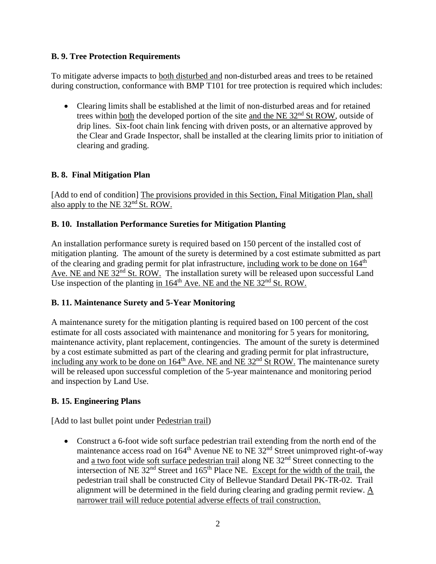#### **B. 9. Tree Protection Requirements**

To mitigate adverse impacts to both disturbed and non-disturbed areas and trees to be retained during construction, conformance with BMP T101 for tree protection is required which includes:

• Clearing limits shall be established at the limit of non-disturbed areas and for retained trees within both the developed portion of the site and the NE  $32<sup>nd</sup>$  St ROW, outside of drip lines. Six-foot chain link fencing with driven posts, or an alternative approved by the Clear and Grade Inspector, shall be installed at the clearing limits prior to initiation of clearing and grading.

### **B. 8. Final Mitigation Plan**

[Add to end of condition] The provisions provided in this Section, Final Mitigation Plan, shall also apply to the NE 32nd St. ROW.

### **B. 10. Installation Performance Sureties for Mitigation Planting**

An installation performance surety is required based on 150 percent of the installed cost of mitigation planting. The amount of the surety is determined by a cost estimate submitted as part of the clearing and grading permit for plat infrastructure, including work to be done on 164<sup>th</sup> Ave. NE and NE 32<sup>nd</sup> St. ROW. The installation surety will be released upon successful Land Use inspection of the planting in  $164^{\text{th}}$  Ave. NE and the NE 32<sup>nd</sup> St. ROW.

# **B. 11. Maintenance Surety and 5-Year Monitoring**

A maintenance surety for the mitigation planting is required based on 100 percent of the cost estimate for all costs associated with maintenance and monitoring for 5 years for monitoring, maintenance activity, plant replacement, contingencies. The amount of the surety is determined by a cost estimate submitted as part of the clearing and grading permit for plat infrastructure, including any work to be done on  $164<sup>th</sup>$  Ave. NE and NE 32<sup>nd</sup> St ROW. The maintenance surety will be released upon successful completion of the 5-year maintenance and monitoring period and inspection by Land Use.

#### **B. 15. Engineering Plans**

[Add to last bullet point under Pedestrian trail)

• Construct a 6-foot wide soft surface pedestrian trail extending from the north end of the maintenance access road on  $164<sup>th</sup>$  Avenue NE to NE 32<sup>nd</sup> Street unimproved right-of-way and a two foot wide soft surface pedestrian trail along NE 32nd Street connecting to the intersection of NE  $32<sup>nd</sup>$  Street and  $165<sup>th</sup>$  Place NE. Except for the width of the trail, the pedestrian trail shall be constructed City of Bellevue Standard Detail PK-TR-02. Trail alignment will be determined in the field during clearing and grading permit review. A narrower trail will reduce potential adverse effects of trail construction.